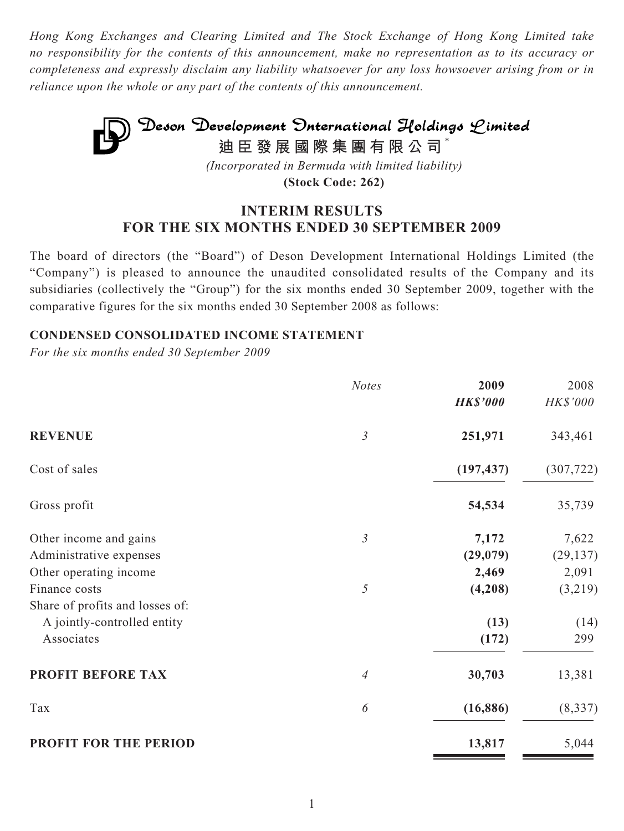*Hong Kong Exchanges and Clearing Limited and The Stock Exchange of Hong Kong Limited take no responsibility for the contents of this announcement, make no representation as to its accuracy or completeness and expressly disclaim any liability whatsoever for any loss howsoever arising from or in reliance upon the whole or any part of the contents of this announcement.*

# **Deson Development Onternational Holdings Limited**<br>迪臣發展國際集團有限公司<sup>\*</sup> *(Incorporated in Bermuda with limited liability)*

**(Stock Code: 262)**

# **INTERIM RESULTS FOR THE SIX MONTHS ENDED 30 SEPTEMBER 2009**

The board of directors (the "Board") of Deson Development International Holdings Limited (the "Company") is pleased to announce the unaudited consolidated results of the Company and its subsidiaries (collectively the "Group") for the six months ended 30 September 2009, together with the comparative figures for the six months ended 30 September 2008 as follows:

# **CONDENSED CONSOLIDATED INCOME STATEMENT**

|                                 | <b>Notes</b>   | 2009            | 2008       |
|---------------------------------|----------------|-----------------|------------|
|                                 |                | <b>HK\$'000</b> | HK\$'000   |
| <b>REVENUE</b>                  | $\mathfrak{Z}$ | 251,971         | 343,461    |
| Cost of sales                   |                | (197, 437)      | (307, 722) |
| Gross profit                    |                | 54,534          | 35,739     |
| Other income and gains          | $\mathfrak{Z}$ | 7,172           | 7,622      |
| Administrative expenses         |                | (29,079)        | (29, 137)  |
| Other operating income          |                | 2,469           | 2,091      |
| Finance costs                   | $\sqrt{2}$     | (4,208)         | (3,219)    |
| Share of profits and losses of: |                |                 |            |
| A jointly-controlled entity     |                | (13)            | (14)       |
| Associates                      |                | (172)           | 299        |
| <b>PROFIT BEFORE TAX</b>        | $\overline{4}$ | 30,703          | 13,381     |
| Tax                             | 6              | (16, 886)       | (8, 337)   |
| PROFIT FOR THE PERIOD           |                | 13,817          | 5,044      |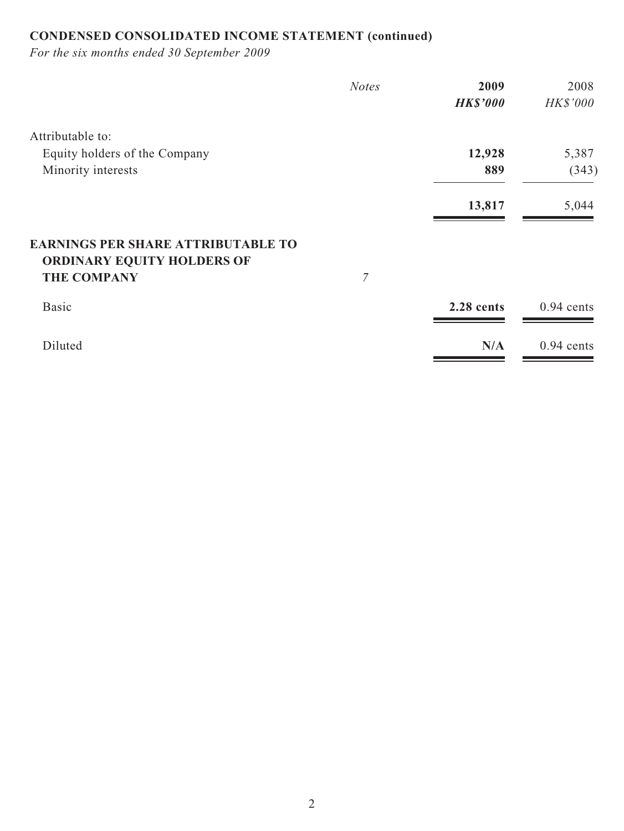# **CONDENSED CONSOLIDATED INCOME STATEMENT (continued)**

|                                                                         | <b>Notes</b>     | 2009            | 2008            |
|-------------------------------------------------------------------------|------------------|-----------------|-----------------|
|                                                                         |                  | <b>HK\$'000</b> | <b>HK\$'000</b> |
| Attributable to:                                                        |                  |                 |                 |
| Equity holders of the Company                                           |                  | 12,928          | 5,387           |
| Minority interests                                                      |                  | 889             | (343)           |
|                                                                         |                  | 13,817          | 5,044           |
| <b>EARNINGS PER SHARE ATTRIBUTABLE TO</b><br>ORDINARY EQUITY HOLDERS OF |                  |                 |                 |
| <b>THE COMPANY</b>                                                      | $\boldsymbol{7}$ |                 |                 |
| <b>Basic</b>                                                            |                  | 2.28 cents      | $0.94$ cents    |
| Diluted                                                                 |                  | N/A             | $0.94$ cents    |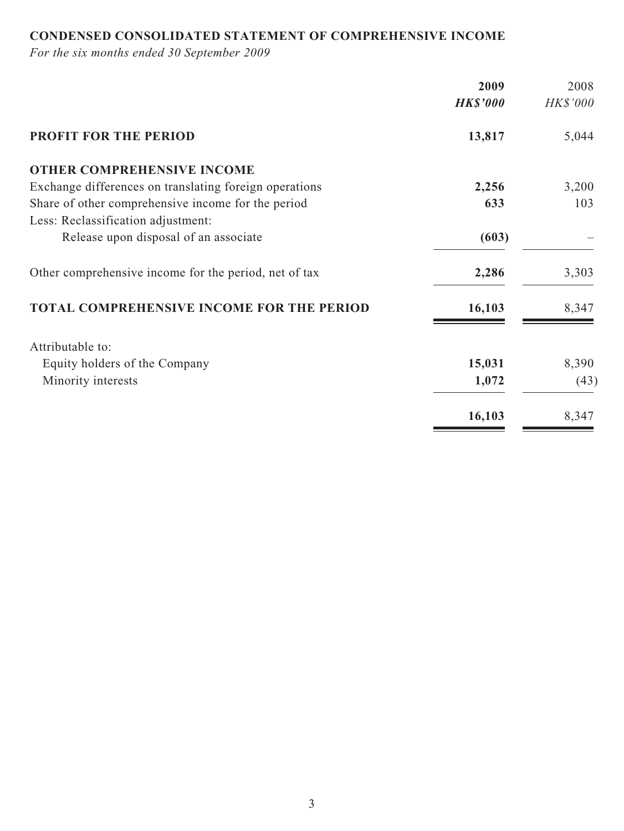# **CONDENSED CONSOLIDATED STATEMENT OF COMPREHENSIVE INCOME**

|                                                        | 2009            | 2008            |
|--------------------------------------------------------|-----------------|-----------------|
|                                                        | <b>HK\$'000</b> | <b>HK\$'000</b> |
| <b>PROFIT FOR THE PERIOD</b>                           | 13,817          | 5,044           |
| <b>OTHER COMPREHENSIVE INCOME</b>                      |                 |                 |
| Exchange differences on translating foreign operations | 2,256           | 3,200           |
| Share of other comprehensive income for the period     | 633             | 103             |
| Less: Reclassification adjustment:                     |                 |                 |
| Release upon disposal of an associate                  | (603)           |                 |
| Other comprehensive income for the period, net of tax  | 2,286           | 3,303           |
| TOTAL COMPREHENSIVE INCOME FOR THE PERIOD              | 16,103          | 8,347           |
| Attributable to:                                       |                 |                 |
| Equity holders of the Company                          | 15,031          | 8,390           |
| Minority interests                                     | 1,072           | (43)            |
|                                                        | 16,103          | 8,347           |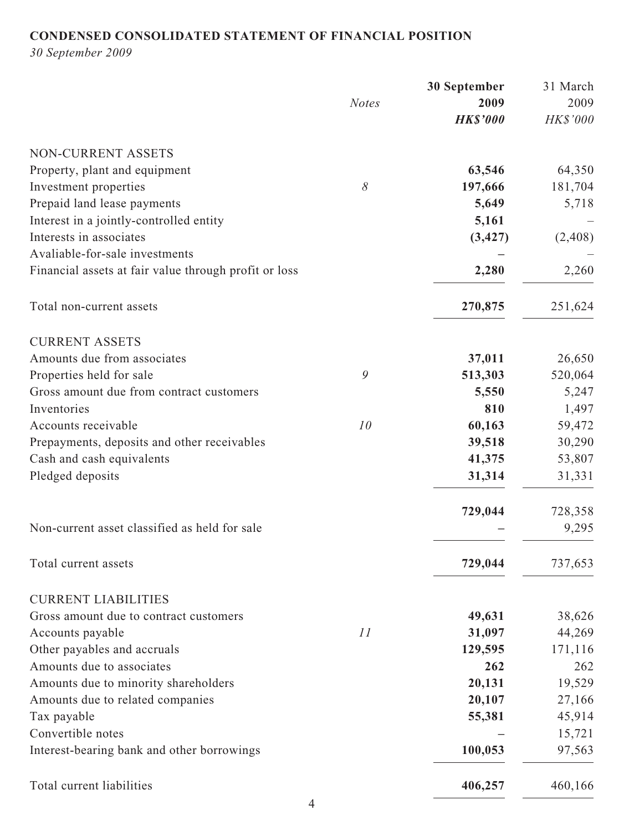# **CONDENSED CONSOLIDATED STATEMENT OF FINANCIAL POSITION**

*30 September 2009*

|                                                       |              | 30 September    | 31 March |
|-------------------------------------------------------|--------------|-----------------|----------|
|                                                       | <b>Notes</b> | 2009            | 2009     |
|                                                       |              | <b>HK\$'000</b> | HK\$'000 |
| NON-CURRENT ASSETS                                    |              |                 |          |
| Property, plant and equipment                         |              | 63,546          | 64,350   |
| Investment properties                                 | $\delta$     | 197,666         | 181,704  |
| Prepaid land lease payments                           |              | 5,649           | 5,718    |
| Interest in a jointly-controlled entity               |              | 5,161           |          |
| Interests in associates                               |              | (3, 427)        | (2,408)  |
| Avaliable-for-sale investments                        |              |                 |          |
| Financial assets at fair value through profit or loss |              | 2,280           | 2,260    |
| Total non-current assets                              |              | 270,875         | 251,624  |
| <b>CURRENT ASSETS</b>                                 |              |                 |          |
| Amounts due from associates                           |              | 37,011          | 26,650   |
| Properties held for sale                              | 9            | 513,303         | 520,064  |
| Gross amount due from contract customers              |              | 5,550           | 5,247    |
| Inventories                                           |              | 810             | 1,497    |
| Accounts receivable                                   | 10           | 60,163          | 59,472   |
| Prepayments, deposits and other receivables           |              | 39,518          | 30,290   |
| Cash and cash equivalents                             |              | 41,375          | 53,807   |
| Pledged deposits                                      |              | 31,314          | 31,331   |
|                                                       |              | 729,044         | 728,358  |
| Non-current asset classified as held for sale         |              |                 | 9,295    |
| Total current assets                                  |              | 729,044         | 737,653  |
| <b>CURRENT LIABILITIES</b>                            |              |                 |          |
| Gross amount due to contract customers                |              | 49,631          | 38,626   |
| Accounts payable                                      | 11           | 31,097          | 44,269   |
| Other payables and accruals                           |              | 129,595         | 171,116  |
| Amounts due to associates                             |              | 262             | 262      |
| Amounts due to minority shareholders                  |              | 20,131          | 19,529   |
| Amounts due to related companies                      |              | 20,107          | 27,166   |
| Tax payable                                           |              | 55,381          | 45,914   |
| Convertible notes                                     |              |                 | 15,721   |
| Interest-bearing bank and other borrowings            |              | 100,053         | 97,563   |
| Total current liabilities                             |              | 406,257         | 460,166  |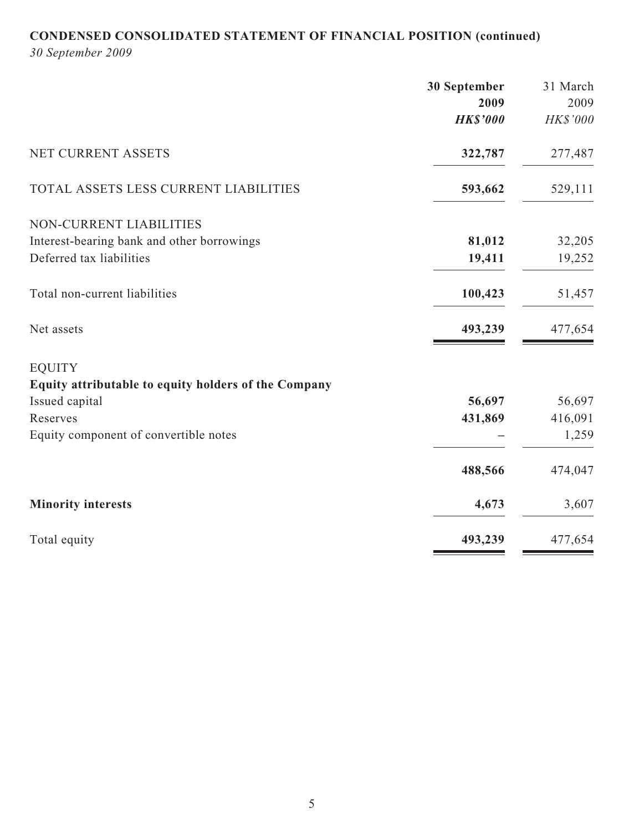# **CONDENSED CONSOLIDATED STATEMENT OF FINANCIAL POSITION (continued)**

*30 September 2009*

|                                                      | 30 September    | 31 March |
|------------------------------------------------------|-----------------|----------|
|                                                      | 2009            | 2009     |
|                                                      | <b>HK\$'000</b> | HK\$'000 |
| NET CURRENT ASSETS                                   | 322,787         | 277,487  |
| TOTAL ASSETS LESS CURRENT LIABILITIES                | 593,662         | 529,111  |
| NON-CURRENT LIABILITIES                              |                 |          |
| Interest-bearing bank and other borrowings           | 81,012          | 32,205   |
| Deferred tax liabilities                             | 19,411          | 19,252   |
| Total non-current liabilities                        | 100,423         | 51,457   |
| Net assets                                           | 493,239         | 477,654  |
| <b>EQUITY</b>                                        |                 |          |
| Equity attributable to equity holders of the Company |                 |          |
| Issued capital                                       | 56,697          | 56,697   |
| Reserves                                             | 431,869         | 416,091  |
| Equity component of convertible notes                |                 | 1,259    |
|                                                      | 488,566         | 474,047  |
| <b>Minority interests</b>                            | 4,673           | 3,607    |
| Total equity                                         | 493,239         | 477,654  |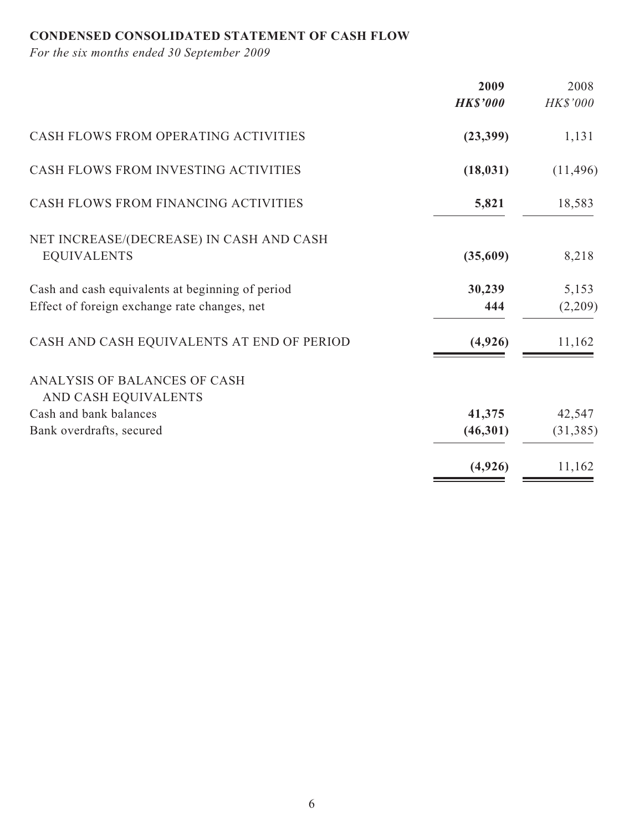# **CONDENSED CONSOLIDATED STATEMENT OF CASH FLOW**

| 2009<br><b>HK\$'000</b>                                                                                           | 2008<br>HK\$'000 |
|-------------------------------------------------------------------------------------------------------------------|------------------|
| CASH FLOWS FROM OPERATING ACTIVITIES<br>(23, 399)                                                                 | 1,131            |
| CASH FLOWS FROM INVESTING ACTIVITIES<br>(18, 031)                                                                 | (11, 496)        |
| CASH FLOWS FROM FINANCING ACTIVITIES<br>5,821                                                                     | 18,583           |
| NET INCREASE/(DECREASE) IN CASH AND CASH<br><b>EQUIVALENTS</b><br>(35,609)                                        | 8,218            |
| 30,239<br>Cash and cash equivalents at beginning of period<br>Effect of foreign exchange rate changes, net<br>444 | 5,153<br>(2,209) |
| CASH AND CASH EQUIVALENTS AT END OF PERIOD<br>(4,926)                                                             | 11,162           |
| ANALYSIS OF BALANCES OF CASH<br>AND CASH EQUIVALENTS                                                              |                  |
| Cash and bank balances<br>41,375                                                                                  | 42,547           |
| (46,301)<br>Bank overdrafts, secured                                                                              | (31, 385)        |
| (4,926)                                                                                                           | 11,162           |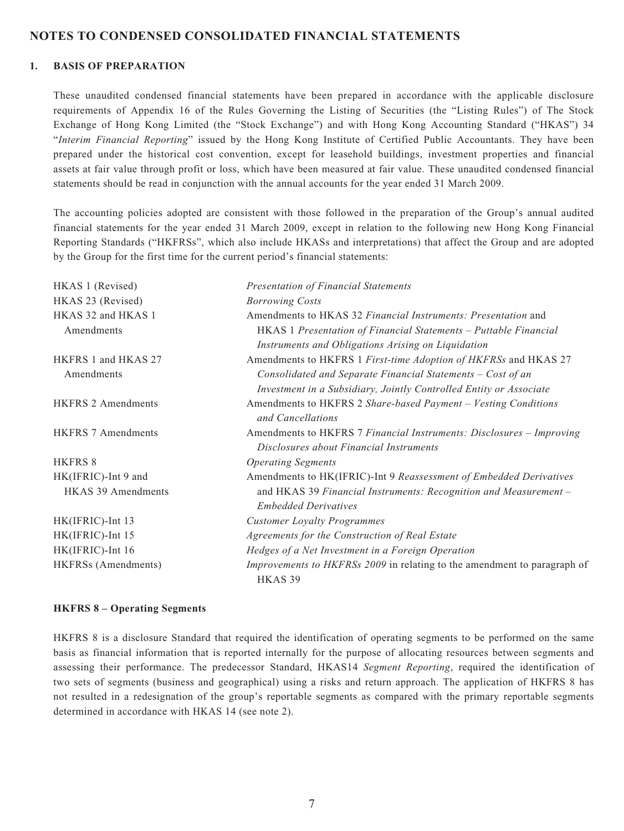#### **NOTES TO CONDENSED CONSOLIDATED FINANCIAL STATEMENTS**

#### **1. BASIS OF PREPARATION**

These unaudited condensed financial statements have been prepared in accordance with the applicable disclosure requirements of Appendix 16 of the Rules Governing the Listing of Securities (the "Listing Rules") of The Stock Exchange of Hong Kong Limited (the "Stock Exchange") and with Hong Kong Accounting Standard ("HKAS") 34 "*Interim Financial Reporting*" issued by the Hong Kong Institute of Certified Public Accountants. They have been prepared under the historical cost convention, except for leasehold buildings, investment properties and financial assets at fair value through profit or loss, which have been measured at fair value. These unaudited condensed financial statements should be read in conjunction with the annual accounts for the year ended 31 March 2009.

The accounting policies adopted are consistent with those followed in the preparation of the Group's annual audited financial statements for the year ended 31 March 2009, except in relation to the following new Hong Kong Financial Reporting Standards ("HKFRSs", which also include HKASs and interpretations) that affect the Group and are adopted by the Group for the first time for the current period's financial statements:

| HKAS 1 (Revised)                  | <b>Presentation of Financial Statements</b>                                                                                    |
|-----------------------------------|--------------------------------------------------------------------------------------------------------------------------------|
| HKAS 23 (Revised)                 | <b>Borrowing Costs</b>                                                                                                         |
| HKAS 32 and HKAS 1                | Amendments to HKAS 32 Financial Instruments: Presentation and                                                                  |
| Amendments                        | HKAS 1 Presentation of Financial Statements - Puttable Financial<br>Instruments and Obligations Arising on Liquidation         |
| HKFRS 1 and HKAS 27<br>Amendments | Amendments to HKFRS 1 First-time Adoption of HKFRSs and HKAS 27<br>Consolidated and Separate Financial Statements - Cost of an |
|                                   | Investment in a Subsidiary, Jointly Controlled Entity or Associate                                                             |
| <b>HKFRS 2 Amendments</b>         | Amendments to HKFRS 2 Share-based Payment - Vesting Conditions<br>and Cancellations                                            |
| <b>HKFRS 7 Amendments</b>         | Amendments to HKFRS 7 Financial Instruments: Disclosures - Improving<br>Disclosures about Financial Instruments                |
| <b>HKFRS 8</b>                    | <b>Operating Segments</b>                                                                                                      |
| HK(IFRIC)-Int 9 and               | Amendments to HK(IFRIC)-Int 9 Reassessment of Embedded Derivatives                                                             |
| <b>HKAS 39 Amendments</b>         | and HKAS 39 Financial Instruments: Recognition and Measurement -<br><b>Embedded Derivatives</b>                                |
| HK(IFRIC)-Int 13                  | <b>Customer Loyalty Programmes</b>                                                                                             |
| HK(IFRIC)-Int 15                  | Agreements for the Construction of Real Estate                                                                                 |
| HK(IFRIC)-Int 16                  | Hedges of a Net Investment in a Foreign Operation                                                                              |
| HKFRSs (Amendments)               | Improvements to HKFRSs 2009 in relating to the amendment to paragraph of<br>HKAS <sub>39</sub>                                 |

#### **HKFRS 8 – Operating Segments**

HKFRS 8 is a disclosure Standard that required the identification of operating segments to be performed on the same basis as financial information that is reported internally for the purpose of allocating resources between segments and assessing their performance. The predecessor Standard, HKAS14 *Segment Reporting*, required the identification of two sets of segments (business and geographical) using a risks and return approach. The application of HKFRS 8 has not resulted in a redesignation of the group's reportable segments as compared with the primary reportable segments determined in accordance with HKAS 14 (see note 2).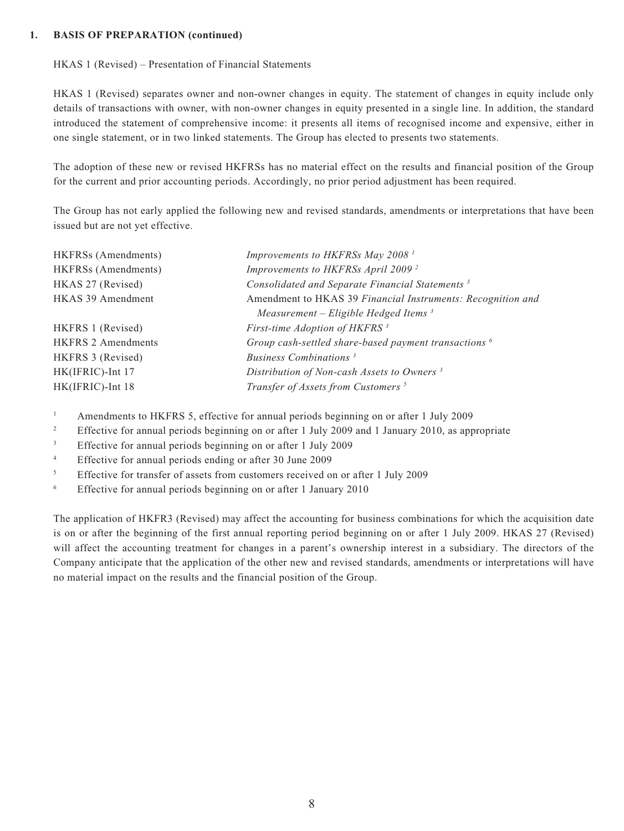#### **1. BASIS OF PREPARATION (continued)**

#### HKAS 1 (Revised) – Presentation of Financial Statements

HKAS 1 (Revised) separates owner and non-owner changes in equity. The statement of changes in equity include only details of transactions with owner, with non-owner changes in equity presented in a single line. In addition, the standard introduced the statement of comprehensive income: it presents all items of recognised income and expensive, either in one single statement, or in two linked statements. The Group has elected to presents two statements.

The adoption of these new or revised HKFRSs has no material effect on the results and financial position of the Group for the current and prior accounting periods. Accordingly, no prior period adjustment has been required.

The Group has not early applied the following new and revised standards, amendments or interpretations that have been issued but are not yet effective.

| HKFRSs (Amendments)       | Improvements to HKFRSs May 2008 <sup>1</sup>                     |
|---------------------------|------------------------------------------------------------------|
| HKFRSs (Amendments)       | Improvements to HKFRSs April 2009 <sup>2</sup>                   |
| HKAS 27 (Revised)         | Consolidated and Separate Financial Statements <sup>3</sup>      |
| HKAS 39 Amendment         | Amendment to HKAS 39 Financial Instruments: Recognition and      |
|                           | Measurement – Eligible Hedged Items <sup>3</sup>                 |
| HKFRS 1 (Revised)         | First-time Adoption of HKFRS <sup>3</sup>                        |
| <b>HKFRS 2 Amendments</b> | Group cash-settled share-based payment transactions <sup>6</sup> |
| HKFRS 3 (Revised)         | Business Combinations <sup>3</sup>                               |
| HK(IFRIC)-Int 17          | Distribution of Non-cash Assets to Owners <sup>3</sup>           |
| HK(IFRIC)-Int 18          | Transfer of Assets from Customers <sup>5</sup>                   |

- 1 Amendments to HKFRS 5, effective for annual periods beginning on or after 1 July 2009
- 2 Effective for annual periods beginning on or after 1 July 2009 and 1 January 2010, as appropriate
- 3 Effective for annual periods beginning on or after 1 July 2009
- 4 Effective for annual periods ending or after 30 June 2009
- 5 Effective for transfer of assets from customers received on or after 1 July 2009
- 6 Effective for annual periods beginning on or after 1 January 2010

The application of HKFR3 (Revised) may affect the accounting for business combinations for which the acquisition date is on or after the beginning of the first annual reporting period beginning on or after 1 July 2009. HKAS 27 (Revised) will affect the accounting treatment for changes in a parent's ownership interest in a subsidiary. The directors of the Company anticipate that the application of the other new and revised standards, amendments or interpretations will have no material impact on the results and the financial position of the Group.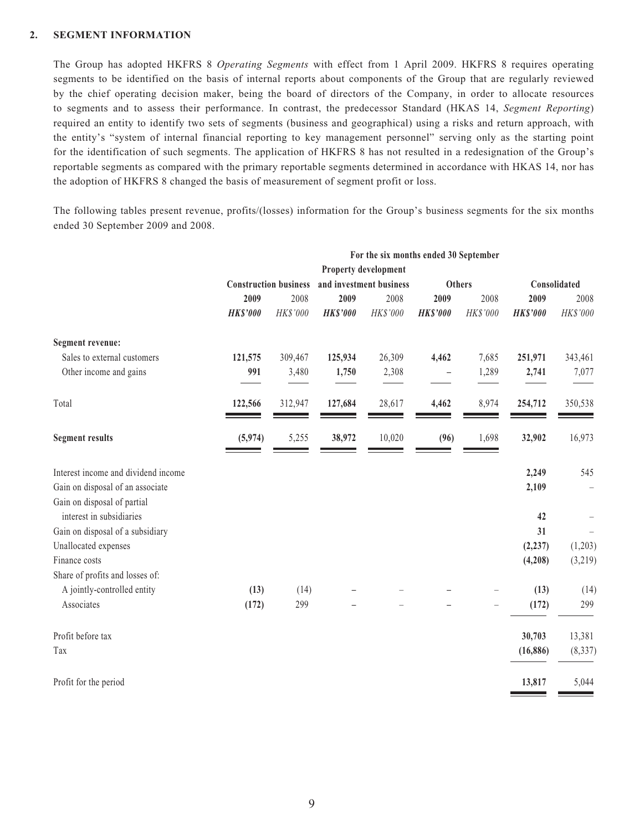#### **2. SEGMENT INFORMATION**

The Group has adopted HKFRS 8 *Operating Segments* with effect from 1 April 2009. HKFRS 8 requires operating segments to be identified on the basis of internal reports about components of the Group that are regularly reviewed by the chief operating decision maker, being the board of directors of the Company, in order to allocate resources to segments and to assess their performance. In contrast, the predecessor Standard (HKAS 14, *Segment Reporting*) required an entity to identify two sets of segments (business and geographical) using a risks and return approach, with the entity's "system of internal financial reporting to key management personnel" serving only as the starting point for the identification of such segments. The application of HKFRS 8 has not resulted in a redesignation of the Group's reportable segments as compared with the primary reportable segments determined in accordance with HKAS 14, nor has the adoption of HKFRS 8 changed the basis of measurement of segment profit or loss.

The following tables present revenue, profits/(losses) information for the Group's business segments for the six months ended 30 September 2009 and 2008.

|                                     | For the six months ended 30 September |          |                 |                         |                          |               |                 |              |
|-------------------------------------|---------------------------------------|----------|-----------------|-------------------------|--------------------------|---------------|-----------------|--------------|
|                                     | Property development                  |          |                 |                         |                          |               |                 |              |
|                                     | <b>Construction business</b>          |          |                 | and investment business |                          | <b>Others</b> |                 | Consolidated |
|                                     | 2009                                  | 2008     | 2009            | 2008                    | 2009                     | 2008          | 2009            | 2008         |
|                                     | <b>HK\$'000</b>                       | HK\$'000 | <b>HK\$'000</b> | HK\$'000                | <b>HK\$'000</b>          | HK\$'000      | <b>HK\$'000</b> | HK\$'000     |
| Segment revenue:                    |                                       |          |                 |                         |                          |               |                 |              |
| Sales to external customers         | 121,575                               | 309,467  | 125,934         | 26,309                  | 4,462                    | 7,685         | 251,971         | 343,461      |
| Other income and gains              | 991                                   | 3,480    | 1,750           | 2,308                   | $\overline{\phantom{0}}$ | 1,289         | 2,741           | 7,077        |
| Total                               | 122,566                               | 312,947  | 127,684         | 28,617                  | 4,462                    | 8,974         | 254,712         | 350,538      |
| <b>Segment results</b>              | (5, 974)                              | 5,255    | 38,972          | 10,020                  | (96)                     | 1,698         | 32,902          | 16,973       |
| Interest income and dividend income |                                       |          |                 |                         |                          |               | 2,249           | 545          |
| Gain on disposal of an associate    |                                       |          |                 |                         |                          |               | 2,109           |              |
| Gain on disposal of partial         |                                       |          |                 |                         |                          |               |                 |              |
| interest in subsidiaries            |                                       |          |                 |                         |                          |               | 42              |              |
| Gain on disposal of a subsidiary    |                                       |          |                 |                         |                          |               | 31              |              |
| Unallocated expenses                |                                       |          |                 |                         |                          |               | (2, 237)        | (1,203)      |
| Finance costs                       |                                       |          |                 |                         |                          |               | (4,208)         | (3,219)      |
| Share of profits and losses of:     |                                       |          |                 |                         |                          |               |                 |              |
| A jointly-controlled entity         | (13)                                  | (14)     |                 |                         |                          |               | (13)            | (14)         |
| Associates                          | (172)                                 | 299      |                 |                         |                          |               | (172)           | 299          |
| Profit before tax                   |                                       |          |                 |                         |                          |               | 30,703          | 13,381       |
| Tax                                 |                                       |          |                 |                         |                          |               | (16, 886)       | (8, 337)     |
| Profit for the period               |                                       |          |                 |                         |                          |               | 13,817          | 5,044        |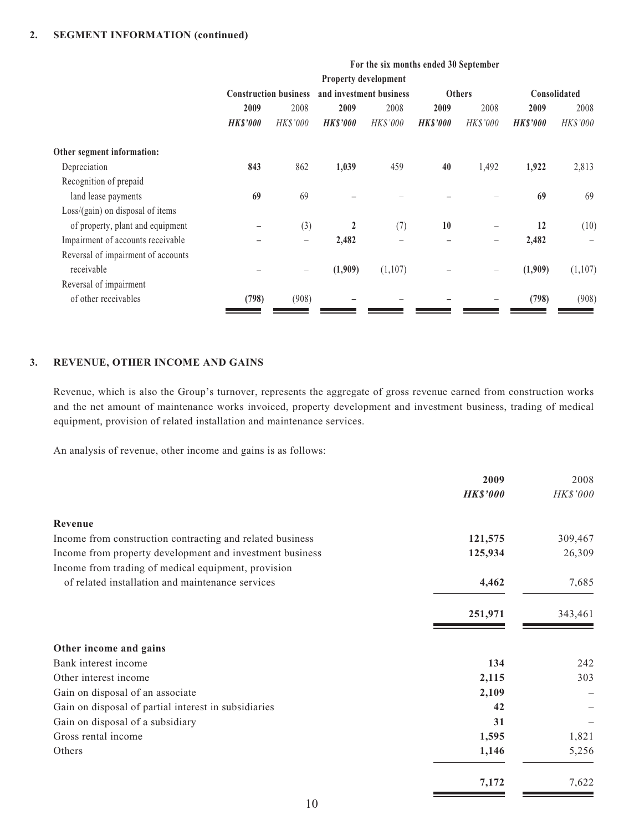|                                    | For the six months ended 30 September |                              |                 |                         |                 |                 |                 |              |
|------------------------------------|---------------------------------------|------------------------------|-----------------|-------------------------|-----------------|-----------------|-----------------|--------------|
|                                    |                                       |                              |                 | Property development    |                 |                 |                 |              |
|                                    |                                       | <b>Construction business</b> |                 | and investment business |                 | <b>Others</b>   |                 | Consolidated |
|                                    | 2009                                  | 2008                         | 2009            | 2008                    | 2009            | 2008            | 2009            | 2008         |
|                                    | <b>HK\$'000</b>                       | <b>HK\$'000</b>              | <b>HK\$'000</b> | <b>HK\$'000</b>         | <b>HK\$'000</b> | <b>HK\$'000</b> | <b>HK\$'000</b> | HK\$'000     |
| Other segment information:         |                                       |                              |                 |                         |                 |                 |                 |              |
| Depreciation                       | 843                                   | 862                          | 1,039           | 459                     | 40              | 1,492           | 1,922           | 2,813        |
| Recognition of prepaid             |                                       |                              |                 |                         |                 |                 |                 |              |
| land lease payments                | 69                                    | 69                           |                 |                         |                 |                 | 69              | 69           |
| $Loss/(gain)$ on disposal of items |                                       |                              |                 |                         |                 |                 |                 |              |
| of property, plant and equipment   |                                       | (3)                          | $\mathbf{2}$    | (7)                     | 10              |                 | 12              | (10)         |
| Impairment of accounts receivable  |                                       | $\overline{\phantom{m}}$     | 2,482           |                         |                 | -               | 2,482           |              |
| Reversal of impairment of accounts |                                       |                              |                 |                         |                 |                 |                 |              |
| receivable                         |                                       |                              | (1,909)         | (1,107)                 |                 |                 | (1,909)         | (1,107)      |
| Reversal of impairment             |                                       |                              |                 |                         |                 |                 |                 |              |
| of other receivables               | (798)                                 | (908)                        |                 |                         |                 |                 | (798)           | (908)        |

#### **3. REVENUE, OTHER INCOME AND GAINS**

Revenue, which is also the Group's turnover, represents the aggregate of gross revenue earned from construction works and the net amount of maintenance works invoiced, property development and investment business, trading of medical equipment, provision of related installation and maintenance services.

An analysis of revenue, other income and gains is as follows:

|                                                           | 2009            | 2008     |
|-----------------------------------------------------------|-----------------|----------|
|                                                           | <b>HK\$'000</b> | HK\$'000 |
| Revenue                                                   |                 |          |
| Income from construction contracting and related business | 121,575         | 309,467  |
| Income from property development and investment business  | 125,934         | 26,309   |
| Income from trading of medical equipment, provision       |                 |          |
| of related installation and maintenance services          | 4,462           | 7,685    |
|                                                           | 251,971         | 343,461  |
| Other income and gains                                    |                 |          |
| Bank interest income                                      | 134             | 242      |
| Other interest income                                     | 2,115           | 303      |
| Gain on disposal of an associate                          | 2,109           |          |
| Gain on disposal of partial interest in subsidiaries      | 42              |          |
| Gain on disposal of a subsidiary                          | 31              |          |
| Gross rental income                                       | 1,595           | 1,821    |
| Others                                                    | 1,146           | 5,256    |
|                                                           | 7,172           | 7,622    |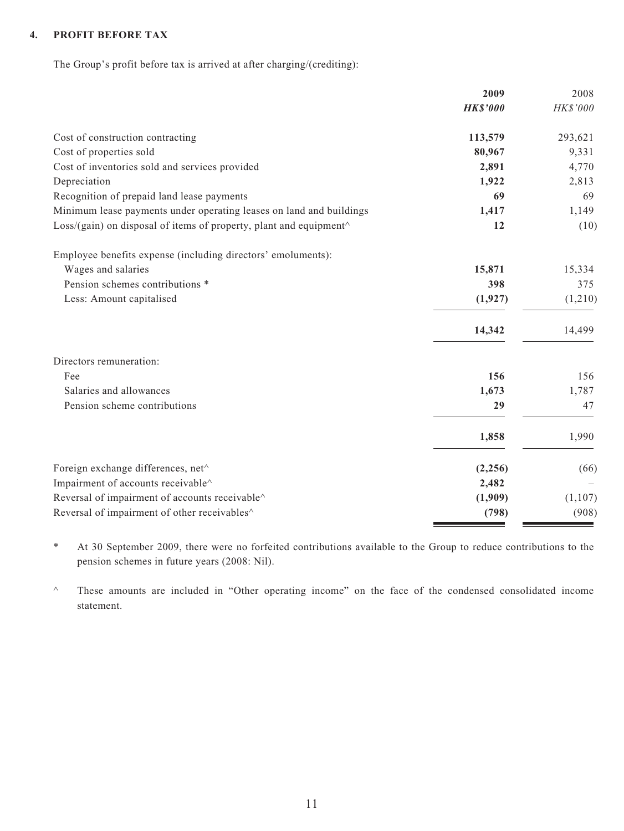#### **4. PROFIT BEFORE TAX**

The Group's profit before tax is arrived at after charging/(crediting):

| <b>HK\$'000</b><br>HK\$'000<br>Cost of construction contracting<br>113,579<br>293,621<br>Cost of properties sold<br>80,967<br>9,331<br>Cost of inventories sold and services provided<br>2,891<br>4,770<br>Depreciation<br>1,922<br>2,813<br>Recognition of prepaid land lease payments<br>69<br>69<br>Minimum lease payments under operating leases on land and buildings<br>1,417<br>1,149<br>Loss/(gain) on disposal of items of property, plant and equipment^<br>12<br>Employee benefits expense (including directors' emoluments):<br>Wages and salaries<br>15,871<br>15,334<br>Pension schemes contributions *<br>398<br>375<br>Less: Amount capitalised<br>(1, 927)<br>14,342<br>14,499<br>Directors remuneration:<br>Fee<br>156<br>156<br>Salaries and allowances<br>1,673<br>1,787<br>Pension scheme contributions<br>29<br>47<br>1,858<br>1,990<br>Foreign exchange differences, net^<br>(2, 256)<br>Impairment of accounts receivable^<br>2,482<br>Reversal of impairment of accounts receivable^<br>(1,909)<br>Reversal of impairment of other receivables^<br>(798) | 2009 | 2008    |
|-----------------------------------------------------------------------------------------------------------------------------------------------------------------------------------------------------------------------------------------------------------------------------------------------------------------------------------------------------------------------------------------------------------------------------------------------------------------------------------------------------------------------------------------------------------------------------------------------------------------------------------------------------------------------------------------------------------------------------------------------------------------------------------------------------------------------------------------------------------------------------------------------------------------------------------------------------------------------------------------------------------------------------------------------------------------------------------|------|---------|
|                                                                                                                                                                                                                                                                                                                                                                                                                                                                                                                                                                                                                                                                                                                                                                                                                                                                                                                                                                                                                                                                                   |      |         |
|                                                                                                                                                                                                                                                                                                                                                                                                                                                                                                                                                                                                                                                                                                                                                                                                                                                                                                                                                                                                                                                                                   |      |         |
|                                                                                                                                                                                                                                                                                                                                                                                                                                                                                                                                                                                                                                                                                                                                                                                                                                                                                                                                                                                                                                                                                   |      |         |
|                                                                                                                                                                                                                                                                                                                                                                                                                                                                                                                                                                                                                                                                                                                                                                                                                                                                                                                                                                                                                                                                                   |      |         |
|                                                                                                                                                                                                                                                                                                                                                                                                                                                                                                                                                                                                                                                                                                                                                                                                                                                                                                                                                                                                                                                                                   |      |         |
|                                                                                                                                                                                                                                                                                                                                                                                                                                                                                                                                                                                                                                                                                                                                                                                                                                                                                                                                                                                                                                                                                   |      |         |
|                                                                                                                                                                                                                                                                                                                                                                                                                                                                                                                                                                                                                                                                                                                                                                                                                                                                                                                                                                                                                                                                                   |      |         |
|                                                                                                                                                                                                                                                                                                                                                                                                                                                                                                                                                                                                                                                                                                                                                                                                                                                                                                                                                                                                                                                                                   |      | (10)    |
|                                                                                                                                                                                                                                                                                                                                                                                                                                                                                                                                                                                                                                                                                                                                                                                                                                                                                                                                                                                                                                                                                   |      |         |
|                                                                                                                                                                                                                                                                                                                                                                                                                                                                                                                                                                                                                                                                                                                                                                                                                                                                                                                                                                                                                                                                                   |      |         |
|                                                                                                                                                                                                                                                                                                                                                                                                                                                                                                                                                                                                                                                                                                                                                                                                                                                                                                                                                                                                                                                                                   |      |         |
|                                                                                                                                                                                                                                                                                                                                                                                                                                                                                                                                                                                                                                                                                                                                                                                                                                                                                                                                                                                                                                                                                   |      | (1,210) |
|                                                                                                                                                                                                                                                                                                                                                                                                                                                                                                                                                                                                                                                                                                                                                                                                                                                                                                                                                                                                                                                                                   |      |         |
|                                                                                                                                                                                                                                                                                                                                                                                                                                                                                                                                                                                                                                                                                                                                                                                                                                                                                                                                                                                                                                                                                   |      |         |
|                                                                                                                                                                                                                                                                                                                                                                                                                                                                                                                                                                                                                                                                                                                                                                                                                                                                                                                                                                                                                                                                                   |      |         |
|                                                                                                                                                                                                                                                                                                                                                                                                                                                                                                                                                                                                                                                                                                                                                                                                                                                                                                                                                                                                                                                                                   |      |         |
|                                                                                                                                                                                                                                                                                                                                                                                                                                                                                                                                                                                                                                                                                                                                                                                                                                                                                                                                                                                                                                                                                   |      |         |
|                                                                                                                                                                                                                                                                                                                                                                                                                                                                                                                                                                                                                                                                                                                                                                                                                                                                                                                                                                                                                                                                                   |      |         |
|                                                                                                                                                                                                                                                                                                                                                                                                                                                                                                                                                                                                                                                                                                                                                                                                                                                                                                                                                                                                                                                                                   |      | (66)    |
|                                                                                                                                                                                                                                                                                                                                                                                                                                                                                                                                                                                                                                                                                                                                                                                                                                                                                                                                                                                                                                                                                   |      |         |
|                                                                                                                                                                                                                                                                                                                                                                                                                                                                                                                                                                                                                                                                                                                                                                                                                                                                                                                                                                                                                                                                                   |      | (1,107) |
|                                                                                                                                                                                                                                                                                                                                                                                                                                                                                                                                                                                                                                                                                                                                                                                                                                                                                                                                                                                                                                                                                   |      | (908)   |

\* At 30 September 2009, there were no forfeited contributions available to the Group to reduce contributions to the pension schemes in future years (2008: Nil).

^ These amounts are included in "Other operating income" on the face of the condensed consolidated income statement.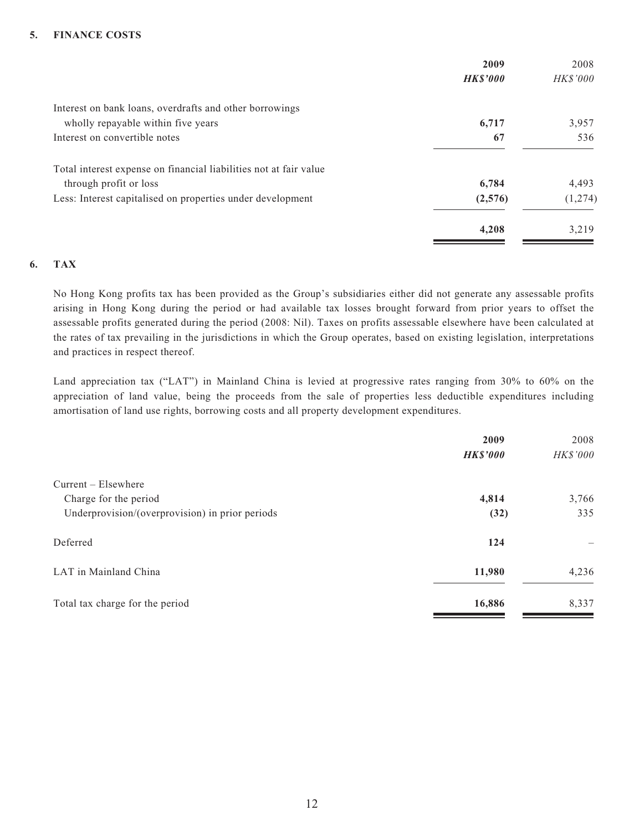#### **5. FINANCE COSTS**

| <b>HK\$'000</b> |
|-----------------|
|                 |
| 3,957           |
| 536             |
|                 |
| 4,493           |
| (1,274)         |
| 3,219           |
|                 |

#### **6. TAX**

No Hong Kong profits tax has been provided as the Group's subsidiaries either did not generate any assessable profits arising in Hong Kong during the period or had available tax losses brought forward from prior years to offset the assessable profits generated during the period (2008: Nil). Taxes on profits assessable elsewhere have been calculated at the rates of tax prevailing in the jurisdictions in which the Group operates, based on existing legislation, interpretations and practices in respect thereof.

Land appreciation tax ("LAT") in Mainland China is levied at progressive rates ranging from 30% to 60% on the appreciation of land value, being the proceeds from the sale of properties less deductible expenditures including amortisation of land use rights, borrowing costs and all property development expenditures.

|                                                 | 2009            | 2008     |
|-------------------------------------------------|-----------------|----------|
|                                                 | <b>HK\$'000</b> | HK\$'000 |
| $Current - Elsewhere$                           |                 |          |
| Charge for the period                           | 4,814           | 3,766    |
| Underprovision/(overprovision) in prior periods | (32)            | 335      |
| Deferred                                        | 124             |          |
| LAT in Mainland China                           | 11,980          | 4,236    |
| Total tax charge for the period                 | 16,886          | 8,337    |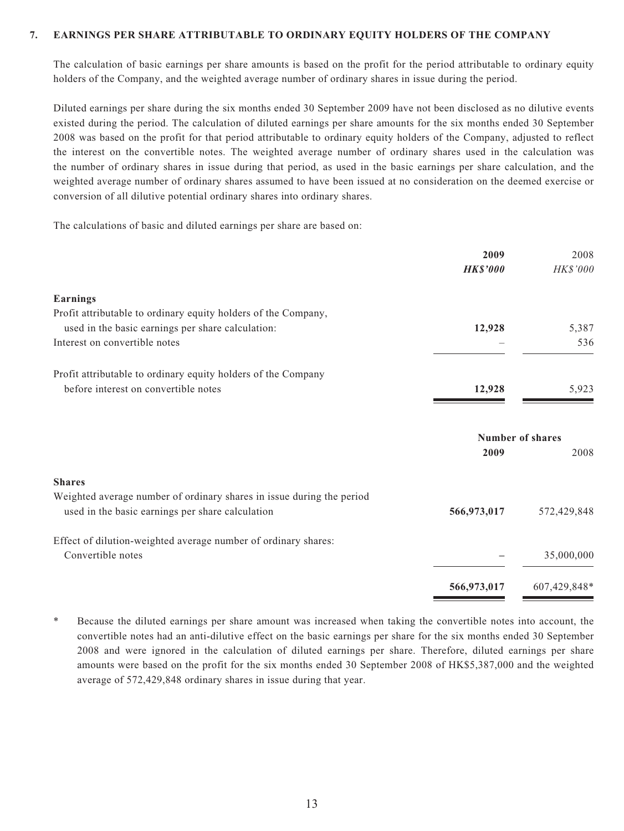#### **7. EARNINGS PER SHARE ATTRIBUTABLE TO ORDINARY EQUITY HOLDERS OF THE COMPANY**

The calculation of basic earnings per share amounts is based on the profit for the period attributable to ordinary equity holders of the Company, and the weighted average number of ordinary shares in issue during the period.

Diluted earnings per share during the six months ended 30 September 2009 have not been disclosed as no dilutive events existed during the period. The calculation of diluted earnings per share amounts for the six months ended 30 September 2008 was based on the profit for that period attributable to ordinary equity holders of the Company, adjusted to reflect the interest on the convertible notes. The weighted average number of ordinary shares used in the calculation was the number of ordinary shares in issue during that period, as used in the basic earnings per share calculation, and the weighted average number of ordinary shares assumed to have been issued at no consideration on the deemed exercise or conversion of all dilutive potential ordinary shares into ordinary shares.

The calculations of basic and diluted earnings per share are based on:

| 2009<br><b>HK\$'000</b> | 2008<br>HK\$'000 |
|-------------------------|------------------|
|                         |                  |
|                         |                  |
| 12,928                  | 5,387            |
|                         | 536              |
|                         |                  |
| 12,928                  | 5,923            |
| <b>Number of shares</b> |                  |
| 2009                    | 2008             |
|                         |                  |
|                         |                  |
| 566,973,017             | 572,429,848      |
|                         |                  |
|                         | 35,000,000       |
| 566,973,017             | 607,429,848*     |
|                         |                  |

\* Because the diluted earnings per share amount was increased when taking the convertible notes into account, the convertible notes had an anti-dilutive effect on the basic earnings per share for the six months ended 30 September 2008 and were ignored in the calculation of diluted earnings per share. Therefore, diluted earnings per share amounts were based on the profit for the six months ended 30 September 2008 of HK\$5,387,000 and the weighted average of 572,429,848 ordinary shares in issue during that year.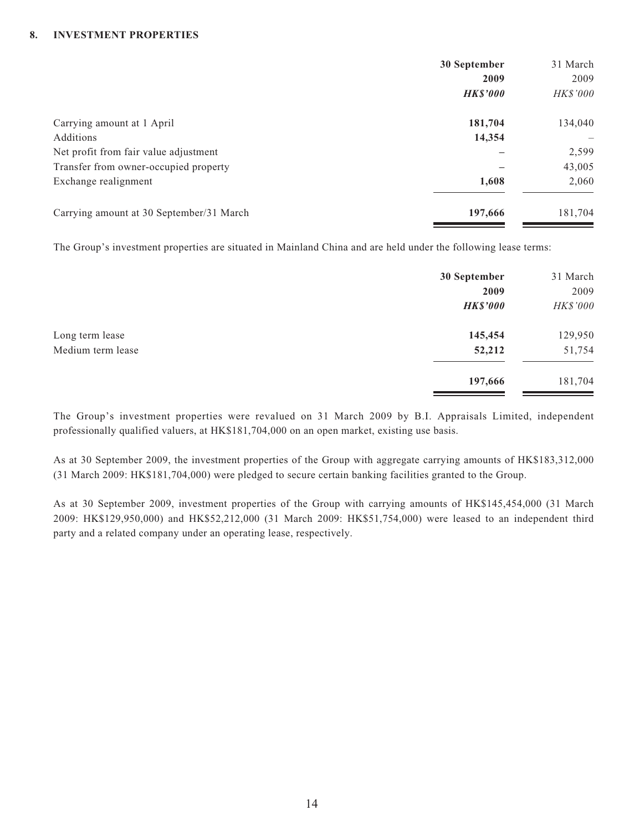#### **8. INVESTMENT PROPERTIES**

|                                          | 30 September    | 31 March |
|------------------------------------------|-----------------|----------|
|                                          | 2009            | 2009     |
|                                          | <b>HK\$'000</b> | HK\$'000 |
| Carrying amount at 1 April               | 181,704         | 134,040  |
| Additions                                | 14,354          |          |
| Net profit from fair value adjustment    |                 | 2,599    |
| Transfer from owner-occupied property    |                 | 43,005   |
| Exchange realignment                     | 1,608           | 2,060    |
| Carrying amount at 30 September/31 March | 197,666         | 181,704  |

The Group's investment properties are situated in Mainland China and are held under the following lease terms:

|                   | 30 September    | 31 March |
|-------------------|-----------------|----------|
|                   | 2009            | 2009     |
|                   | <b>HK\$'000</b> | HK\$'000 |
| Long term lease   | 145,454         | 129,950  |
| Medium term lease | 52,212          | 51,754   |
|                   | 197,666         | 181,704  |

The Group's investment properties were revalued on 31 March 2009 by B.I. Appraisals Limited, independent professionally qualified valuers, at HK\$181,704,000 on an open market, existing use basis.

As at 30 September 2009, the investment properties of the Group with aggregate carrying amounts of HK\$183,312,000 (31 March 2009: HK\$181,704,000) were pledged to secure certain banking facilities granted to the Group.

As at 30 September 2009, investment properties of the Group with carrying amounts of HK\$145,454,000 (31 March 2009: HK\$129,950,000) and HK\$52,212,000 (31 March 2009: HK\$51,754,000) were leased to an independent third party and a related company under an operating lease, respectively.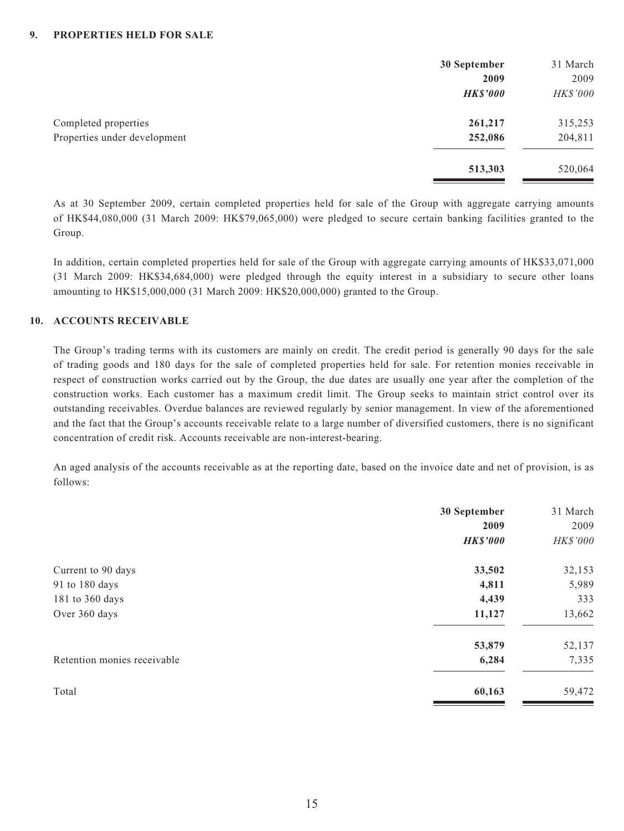|                              | 30 September    | 31 March |
|------------------------------|-----------------|----------|
|                              | 2009            | 2009     |
|                              | <b>HK\$'000</b> | HK\$'000 |
| Completed properties         | 261,217         | 315,253  |
| Properties under development | 252,086         | 204,811  |
|                              | 513,303         | 520,064  |

As at 30 September 2009, certain completed properties held for sale of the Group with aggregate carrying amounts of HK\$44,080,000 (31 March 2009: HK\$79,065,000) were pledged to secure certain banking facilities granted to the Group.

In addition, certain completed properties held for sale of the Group with aggregate carrying amounts of HK\$33,071,000 (31 March 2009: HK\$34,684,000) were pledged through the equity interest in a subsidiary to secure other loans amounting to HK\$15,000,000 (31 March 2009: HK\$20,000,000) granted to the Group.

#### **10. ACCOUNTS RECEIVABLE**

The Group's trading terms with its customers are mainly on credit. The credit period is generally 90 days for the sale of trading goods and 180 days for the sale of completed properties held for sale. For retention monies receivable in respect of construction works carried out by the Group, the due dates are usually one year after the completion of the construction works. Each customer has a maximum credit limit. The Group seeks to maintain strict control over its outstanding receivables. Overdue balances are reviewed regularly by senior management. In view of the aforementioned and the fact that the Group's accounts receivable relate to a large number of diversified customers, there is no significant concentration of credit risk. Accounts receivable are non-interest-bearing.

An aged analysis of the accounts receivable as at the reporting date, based on the invoice date and net of provision, is as follows:

|                             | 30 September<br>2009<br><b>HK\$'000</b> | 31 March<br>2009<br>HK\$'000 |
|-----------------------------|-----------------------------------------|------------------------------|
| Current to 90 days          | 33,502                                  | 32,153                       |
| 91 to 180 days              | 4,811                                   | 5,989                        |
| 181 to 360 days             | 4,439                                   | 333                          |
| Over 360 days               | 11,127                                  | 13,662                       |
|                             | 53,879                                  | 52,137                       |
| Retention monies receivable | 6,284                                   | 7,335                        |
| Total                       | 60,163                                  | 59,472                       |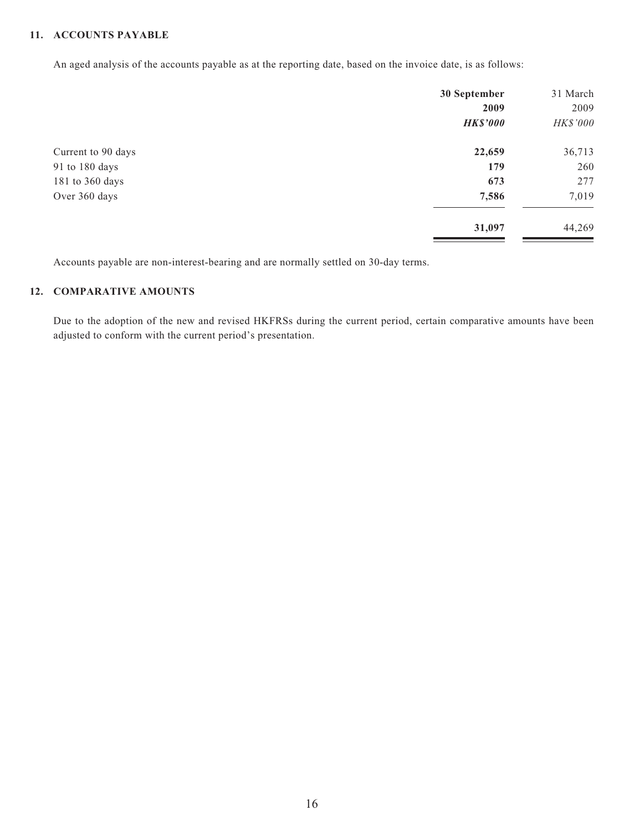#### **11. ACCOUNTS PAYABLE**

An aged analysis of the accounts payable as at the reporting date, based on the invoice date, is as follows:

|                    | 30 September    | 31 March |
|--------------------|-----------------|----------|
|                    | 2009            | 2009     |
|                    | <b>HK\$'000</b> | HK\$'000 |
| Current to 90 days | 22,659          | 36,713   |
| 91 to 180 days     | 179             | 260      |
| 181 to 360 days    | 673             | 277      |
| Over 360 days      | 7,586           | 7,019    |
|                    | 31,097          | 44,269   |

Accounts payable are non-interest-bearing and are normally settled on 30-day terms.

#### **12. COMPARATIVE AMOUNTS**

Due to the adoption of the new and revised HKFRSs during the current period, certain comparative amounts have been adjusted to conform with the current period's presentation.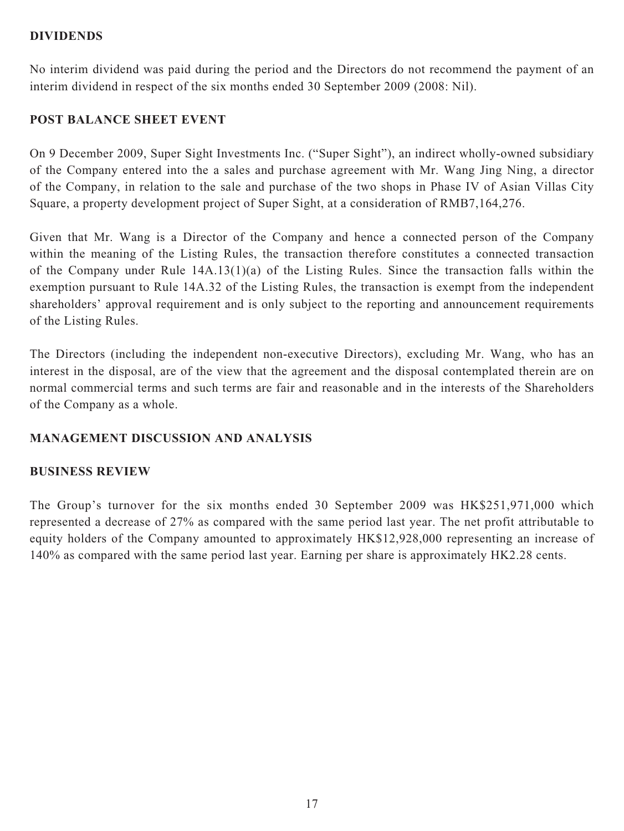## **DIVIDENDS**

No interim dividend was paid during the period and the Directors do not recommend the payment of an interim dividend in respect of the six months ended 30 September 2009 (2008: Nil).

## **POST BALANCE SHEET EVENT**

On 9 December 2009, Super Sight Investments Inc. ("Super Sight"), an indirect wholly-owned subsidiary of the Company entered into the a sales and purchase agreement with Mr. Wang Jing Ning, a director of the Company, in relation to the sale and purchase of the two shops in Phase IV of Asian Villas City Square, a property development project of Super Sight, at a consideration of RMB7,164,276.

Given that Mr. Wang is a Director of the Company and hence a connected person of the Company within the meaning of the Listing Rules, the transaction therefore constitutes a connected transaction of the Company under Rule 14A.13(1)(a) of the Listing Rules. Since the transaction falls within the exemption pursuant to Rule 14A.32 of the Listing Rules, the transaction is exempt from the independent shareholders' approval requirement and is only subject to the reporting and announcement requirements of the Listing Rules.

The Directors (including the independent non-executive Directors), excluding Mr. Wang, who has an interest in the disposal, are of the view that the agreement and the disposal contemplated therein are on normal commercial terms and such terms are fair and reasonable and in the interests of the Shareholders of the Company as a whole.

# **MANAGEMENT DISCUSSION AND ANALYSIS**

#### **BUSINESS REVIEW**

The Group's turnover for the six months ended 30 September 2009 was HK\$251,971,000 which represented a decrease of 27% as compared with the same period last year. The net profit attributable to equity holders of the Company amounted to approximately HK\$12,928,000 representing an increase of 140% as compared with the same period last year. Earning per share is approximately HK2.28 cents.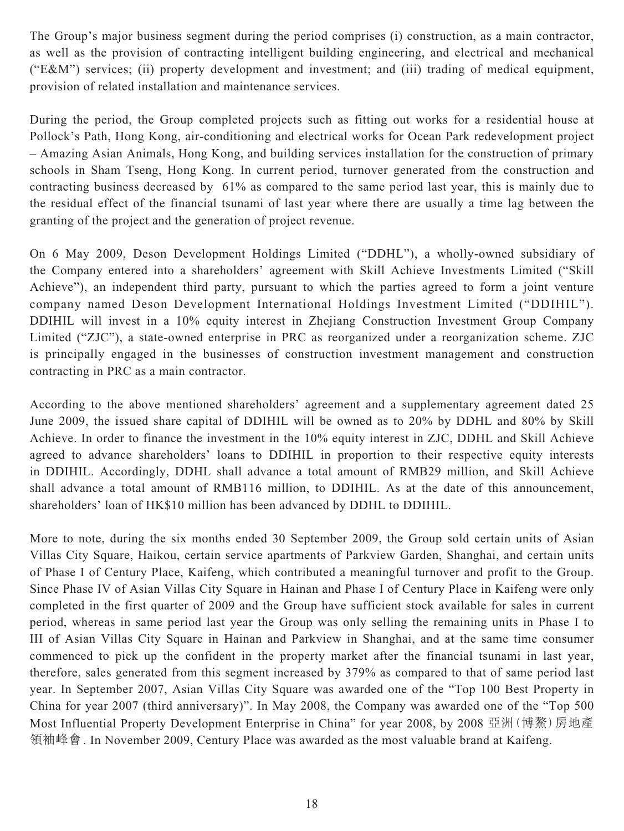The Group's major business segment during the period comprises (i) construction, as a main contractor, as well as the provision of contracting intelligent building engineering, and electrical and mechanical ("E&M") services; (ii) property development and investment; and (iii) trading of medical equipment, provision of related installation and maintenance services.

During the period, the Group completed projects such as fitting out works for a residential house at Pollock's Path, Hong Kong, air-conditioning and electrical works for Ocean Park redevelopment project – Amazing Asian Animals, Hong Kong, and building services installation for the construction of primary schools in Sham Tseng, Hong Kong. In current period, turnover generated from the construction and contracting business decreased by 61% as compared to the same period last year, this is mainly due to the residual effect of the financial tsunami of last year where there are usually a time lag between the granting of the project and the generation of project revenue.

On 6 May 2009, Deson Development Holdings Limited ("DDHL"), a wholly-owned subsidiary of the Company entered into a shareholders' agreement with Skill Achieve Investments Limited ("Skill Achieve"), an independent third party, pursuant to which the parties agreed to form a joint venture company named Deson Development International Holdings Investment Limited ("DDIHIL"). DDIHIL will invest in a 10% equity interest in Zhejiang Construction Investment Group Company Limited ("ZJC"), a state-owned enterprise in PRC as reorganized under a reorganization scheme. ZJC is principally engaged in the businesses of construction investment management and construction contracting in PRC as a main contractor.

According to the above mentioned shareholders' agreement and a supplementary agreement dated 25 June 2009, the issued share capital of DDIHIL will be owned as to 20% by DDHL and 80% by Skill Achieve. In order to finance the investment in the 10% equity interest in ZJC, DDHL and Skill Achieve agreed to advance shareholders' loans to DDIHIL in proportion to their respective equity interests in DDIHIL. Accordingly, DDHL shall advance a total amount of RMB29 million, and Skill Achieve shall advance a total amount of RMB116 million, to DDIHIL. As at the date of this announcement, shareholders' loan of HK\$10 million has been advanced by DDHL to DDIHIL.

More to note, during the six months ended 30 September 2009, the Group sold certain units of Asian Villas City Square, Haikou, certain service apartments of Parkview Garden, Shanghai, and certain units of Phase I of Century Place, Kaifeng, which contributed a meaningful turnover and profit to the Group. Since Phase IV of Asian Villas City Square in Hainan and Phase I of Century Place in Kaifeng were only completed in the first quarter of 2009 and the Group have sufficient stock available for sales in current period, whereas in same period last year the Group was only selling the remaining units in Phase I to III of Asian Villas City Square in Hainan and Parkview in Shanghai, and at the same time consumer commenced to pick up the confident in the property market after the financial tsunami in last year, therefore, sales generated from this segment increased by 379% as compared to that of same period last year. In September 2007, Asian Villas City Square was awarded one of the "Top 100 Best Property in China for year 2007 (third anniversary)". In May 2008, the Company was awarded one of the "Top 500 Most Influential Property Development Enterprise in China" for year 2008, by 2008 亞洲(博鰲)房地產 領袖峰會. In November 2009, Century Place was awarded as the most valuable brand at Kaifeng.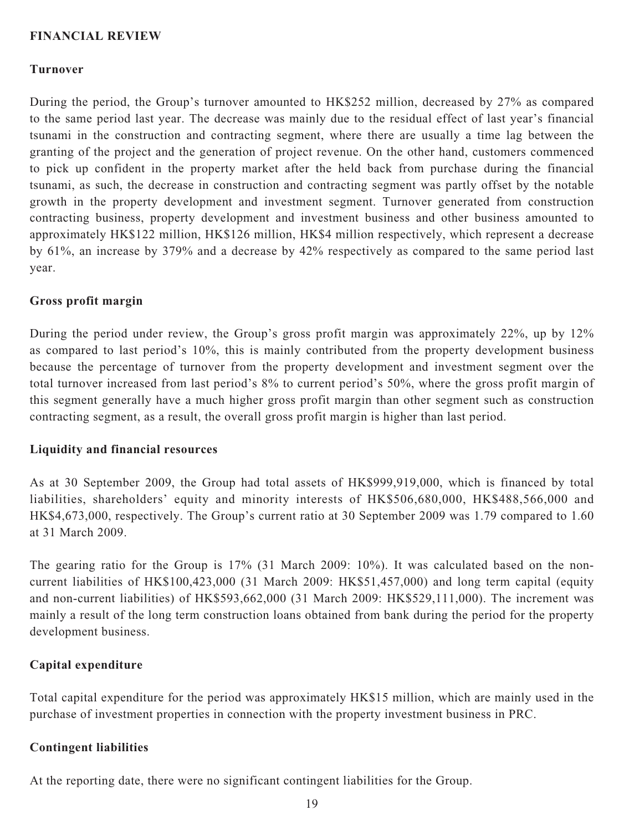## **FINANCIAL REVIEW**

#### **Turnover**

During the period, the Group's turnover amounted to HK\$252 million, decreased by 27% as compared to the same period last year. The decrease was mainly due to the residual effect of last year's financial tsunami in the construction and contracting segment, where there are usually a time lag between the granting of the project and the generation of project revenue. On the other hand, customers commenced to pick up confident in the property market after the held back from purchase during the financial tsunami, as such, the decrease in construction and contracting segment was partly offset by the notable growth in the property development and investment segment. Turnover generated from construction contracting business, property development and investment business and other business amounted to approximately HK\$122 million, HK\$126 million, HK\$4 million respectively, which represent a decrease by 61%, an increase by 379% and a decrease by 42% respectively as compared to the same period last year.

#### **Gross profit margin**

During the period under review, the Group's gross profit margin was approximately 22%, up by 12% as compared to last period's 10%, this is mainly contributed from the property development business because the percentage of turnover from the property development and investment segment over the total turnover increased from last period's 8% to current period's 50%, where the gross profit margin of this segment generally have a much higher gross profit margin than other segment such as construction contracting segment, as a result, the overall gross profit margin is higher than last period.

#### **Liquidity and financial resources**

As at 30 September 2009, the Group had total assets of HK\$999,919,000, which is financed by total liabilities, shareholders' equity and minority interests of HK\$506,680,000, HK\$488,566,000 and HK\$4,673,000, respectively. The Group's current ratio at 30 September 2009 was 1.79 compared to 1.60 at 31 March 2009.

The gearing ratio for the Group is 17% (31 March 2009: 10%). It was calculated based on the noncurrent liabilities of HK\$100,423,000 (31 March 2009: HK\$51,457,000) and long term capital (equity and non-current liabilities) of HK\$593,662,000 (31 March 2009: HK\$529,111,000). The increment was mainly a result of the long term construction loans obtained from bank during the period for the property development business.

### **Capital expenditure**

Total capital expenditure for the period was approximately HK\$15 million, which are mainly used in the purchase of investment properties in connection with the property investment business in PRC.

#### **Contingent liabilities**

At the reporting date, there were no significant contingent liabilities for the Group.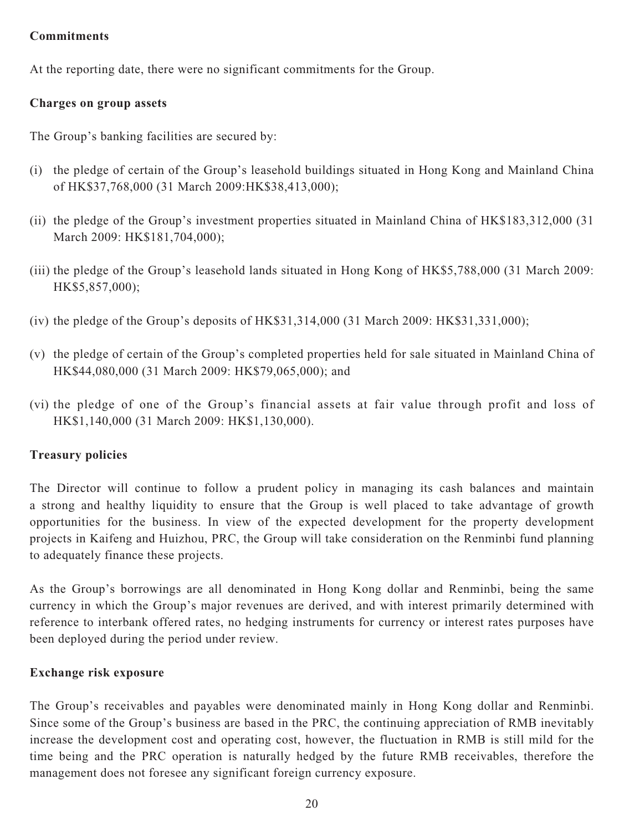# **Commitments**

At the reporting date, there were no significant commitments for the Group.

# **Charges on group assets**

The Group's banking facilities are secured by:

- (i) the pledge of certain of the Group's leasehold buildings situated in Hong Kong and Mainland China of HK\$37,768,000 (31 March 2009:HK\$38,413,000);
- (ii) the pledge of the Group's investment properties situated in Mainland China of HK\$183,312,000 (31 March 2009: HK\$181,704,000);
- (iii) the pledge of the Group's leasehold lands situated in Hong Kong of HK\$5,788,000 (31 March 2009: HK\$5,857,000);
- (iv) the pledge of the Group's deposits of HK\$31,314,000 (31 March 2009: HK\$31,331,000);
- (v) the pledge of certain of the Group's completed properties held for sale situated in Mainland China of HK\$44,080,000 (31 March 2009: HK\$79,065,000); and
- (vi) the pledge of one of the Group's financial assets at fair value through profit and loss of HK\$1,140,000 (31 March 2009: HK\$1,130,000).

# **Treasury policies**

The Director will continue to follow a prudent policy in managing its cash balances and maintain a strong and healthy liquidity to ensure that the Group is well placed to take advantage of growth opportunities for the business. In view of the expected development for the property development projects in Kaifeng and Huizhou, PRC, the Group will take consideration on the Renminbi fund planning to adequately finance these projects.

As the Group's borrowings are all denominated in Hong Kong dollar and Renminbi, being the same currency in which the Group's major revenues are derived, and with interest primarily determined with reference to interbank offered rates, no hedging instruments for currency or interest rates purposes have been deployed during the period under review.

# **Exchange risk exposure**

The Group's receivables and payables were denominated mainly in Hong Kong dollar and Renminbi. Since some of the Group's business are based in the PRC, the continuing appreciation of RMB inevitably increase the development cost and operating cost, however, the fluctuation in RMB is still mild for the time being and the PRC operation is naturally hedged by the future RMB receivables, therefore the management does not foresee any significant foreign currency exposure.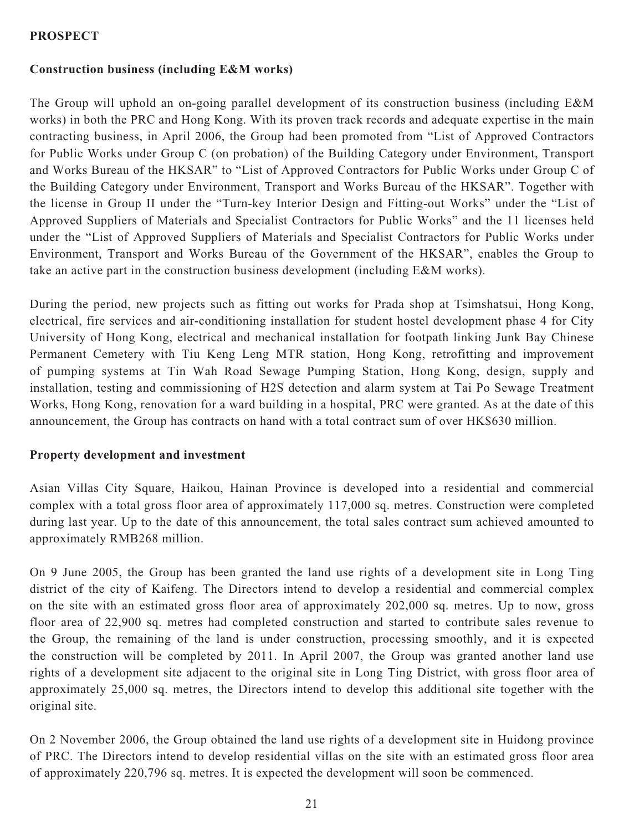# **PROSPECT**

# **Construction business (including E&M works)**

The Group will uphold an on-going parallel development of its construction business (including E&M works) in both the PRC and Hong Kong. With its proven track records and adequate expertise in the main contracting business, in April 2006, the Group had been promoted from "List of Approved Contractors for Public Works under Group C (on probation) of the Building Category under Environment, Transport and Works Bureau of the HKSAR" to "List of Approved Contractors for Public Works under Group C of the Building Category under Environment, Transport and Works Bureau of the HKSAR". Together with the license in Group II under the "Turn-key Interior Design and Fitting-out Works" under the "List of Approved Suppliers of Materials and Specialist Contractors for Public Works" and the 11 licenses held under the "List of Approved Suppliers of Materials and Specialist Contractors for Public Works under Environment, Transport and Works Bureau of the Government of the HKSAR", enables the Group to take an active part in the construction business development (including E&M works).

During the period, new projects such as fitting out works for Prada shop at Tsimshatsui, Hong Kong, electrical, fire services and air-conditioning installation for student hostel development phase 4 for City University of Hong Kong, electrical and mechanical installation for footpath linking Junk Bay Chinese Permanent Cemetery with Tiu Keng Leng MTR station, Hong Kong, retrofitting and improvement of pumping systems at Tin Wah Road Sewage Pumping Station, Hong Kong, design, supply and installation, testing and commissioning of H2S detection and alarm system at Tai Po Sewage Treatment Works, Hong Kong, renovation for a ward building in a hospital, PRC were granted. As at the date of this announcement, the Group has contracts on hand with a total contract sum of over HK\$630 million.

# **Property development and investment**

Asian Villas City Square, Haikou, Hainan Province is developed into a residential and commercial complex with a total gross floor area of approximately 117,000 sq. metres. Construction were completed during last year. Up to the date of this announcement, the total sales contract sum achieved amounted to approximately RMB268 million.

On 9 June 2005, the Group has been granted the land use rights of a development site in Long Ting district of the city of Kaifeng. The Directors intend to develop a residential and commercial complex on the site with an estimated gross floor area of approximately 202,000 sq. metres. Up to now, gross floor area of 22,900 sq. metres had completed construction and started to contribute sales revenue to the Group, the remaining of the land is under construction, processing smoothly, and it is expected the construction will be completed by 2011. In April 2007, the Group was granted another land use rights of a development site adjacent to the original site in Long Ting District, with gross floor area of approximately 25,000 sq. metres, the Directors intend to develop this additional site together with the original site.

On 2 November 2006, the Group obtained the land use rights of a development site in Huidong province of PRC. The Directors intend to develop residential villas on the site with an estimated gross floor area of approximately 220,796 sq. metres. It is expected the development will soon be commenced.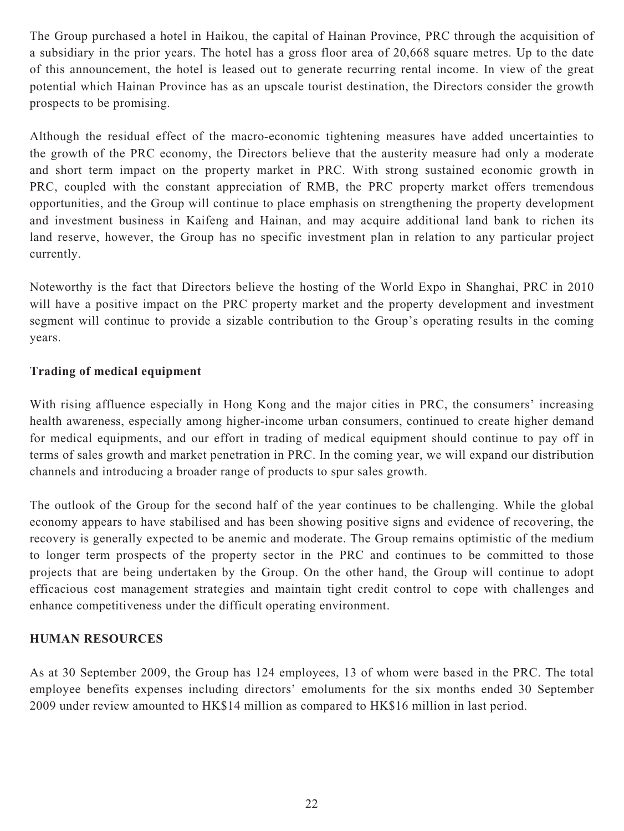The Group purchased a hotel in Haikou, the capital of Hainan Province, PRC through the acquisition of a subsidiary in the prior years. The hotel has a gross floor area of 20,668 square metres. Up to the date of this announcement, the hotel is leased out to generate recurring rental income. In view of the great potential which Hainan Province has as an upscale tourist destination, the Directors consider the growth prospects to be promising.

Although the residual effect of the macro-economic tightening measures have added uncertainties to the growth of the PRC economy, the Directors believe that the austerity measure had only a moderate and short term impact on the property market in PRC. With strong sustained economic growth in PRC, coupled with the constant appreciation of RMB, the PRC property market offers tremendous opportunities, and the Group will continue to place emphasis on strengthening the property development and investment business in Kaifeng and Hainan, and may acquire additional land bank to richen its land reserve, however, the Group has no specific investment plan in relation to any particular project currently.

Noteworthy is the fact that Directors believe the hosting of the World Expo in Shanghai, PRC in 2010 will have a positive impact on the PRC property market and the property development and investment segment will continue to provide a sizable contribution to the Group's operating results in the coming years.

# **Trading of medical equipment**

With rising affluence especially in Hong Kong and the major cities in PRC, the consumers' increasing health awareness, especially among higher-income urban consumers, continued to create higher demand for medical equipments, and our effort in trading of medical equipment should continue to pay off in terms of sales growth and market penetration in PRC. In the coming year, we will expand our distribution channels and introducing a broader range of products to spur sales growth.

The outlook of the Group for the second half of the year continues to be challenging. While the global economy appears to have stabilised and has been showing positive signs and evidence of recovering, the recovery is generally expected to be anemic and moderate. The Group remains optimistic of the medium to longer term prospects of the property sector in the PRC and continues to be committed to those projects that are being undertaken by the Group. On the other hand, the Group will continue to adopt efficacious cost management strategies and maintain tight credit control to cope with challenges and enhance competitiveness under the difficult operating environment.

# **HUMAN RESOURCES**

As at 30 September 2009, the Group has 124 employees, 13 of whom were based in the PRC. The total employee benefits expenses including directors' emoluments for the six months ended 30 September 2009 under review amounted to HK\$14 million as compared to HK\$16 million in last period.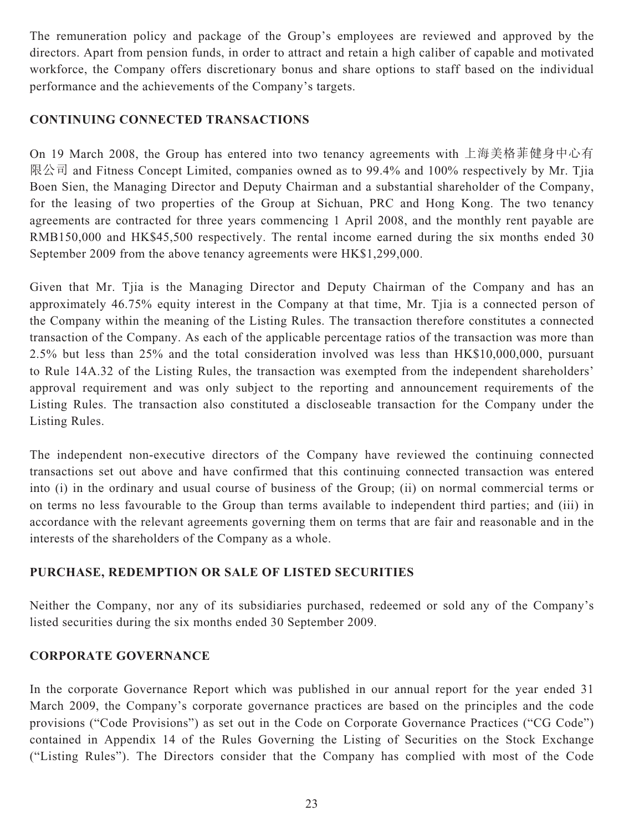The remuneration policy and package of the Group's employees are reviewed and approved by the directors. Apart from pension funds, in order to attract and retain a high caliber of capable and motivated workforce, the Company offers discretionary bonus and share options to staff based on the individual performance and the achievements of the Company's targets.

# **CONTINUING CONNECTED TRANSACTIONS**

On 19 March 2008, the Group has entered into two tenancy agreements with 上海美格菲健身中心有 限公司 and Fitness Concept Limited, companies owned as to 99.4% and 100% respectively by Mr. Tjia Boen Sien, the Managing Director and Deputy Chairman and a substantial shareholder of the Company, for the leasing of two properties of the Group at Sichuan, PRC and Hong Kong. The two tenancy agreements are contracted for three years commencing 1 April 2008, and the monthly rent payable are RMB150,000 and HK\$45,500 respectively. The rental income earned during the six months ended 30 September 2009 from the above tenancy agreements were HK\$1,299,000.

Given that Mr. Tjia is the Managing Director and Deputy Chairman of the Company and has an approximately 46.75% equity interest in the Company at that time, Mr. Tjia is a connected person of the Company within the meaning of the Listing Rules. The transaction therefore constitutes a connected transaction of the Company. As each of the applicable percentage ratios of the transaction was more than 2.5% but less than 25% and the total consideration involved was less than HK\$10,000,000, pursuant to Rule 14A.32 of the Listing Rules, the transaction was exempted from the independent shareholders' approval requirement and was only subject to the reporting and announcement requirements of the Listing Rules. The transaction also constituted a discloseable transaction for the Company under the Listing Rules.

The independent non-executive directors of the Company have reviewed the continuing connected transactions set out above and have confirmed that this continuing connected transaction was entered into (i) in the ordinary and usual course of business of the Group; (ii) on normal commercial terms or on terms no less favourable to the Group than terms available to independent third parties; and (iii) in accordance with the relevant agreements governing them on terms that are fair and reasonable and in the interests of the shareholders of the Company as a whole.

# **PURCHASE, REDEMPTION OR SALE OF LISTED SECURITIES**

Neither the Company, nor any of its subsidiaries purchased, redeemed or sold any of the Company's listed securities during the six months ended 30 September 2009.

# **CORPORATE GOVERNANCE**

In the corporate Governance Report which was published in our annual report for the year ended 31 March 2009, the Company's corporate governance practices are based on the principles and the code provisions ("Code Provisions") as set out in the Code on Corporate Governance Practices ("CG Code") contained in Appendix 14 of the Rules Governing the Listing of Securities on the Stock Exchange ("Listing Rules"). The Directors consider that the Company has complied with most of the Code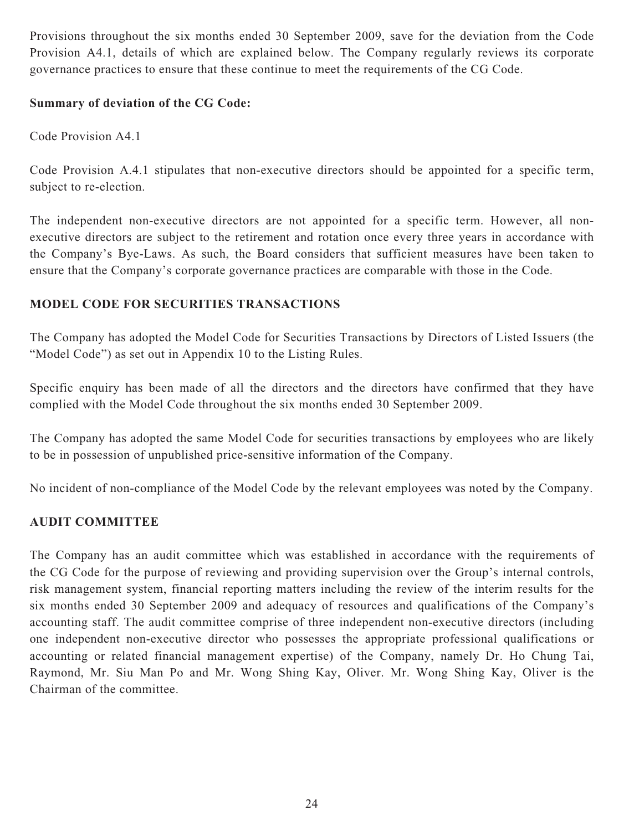Provisions throughout the six months ended 30 September 2009, save for the deviation from the Code Provision A4.1, details of which are explained below. The Company regularly reviews its corporate governance practices to ensure that these continue to meet the requirements of the CG Code.

# **Summary of deviation of the CG Code:**

Code Provision A4.1

Code Provision A.4.1 stipulates that non-executive directors should be appointed for a specific term, subject to re-election.

The independent non-executive directors are not appointed for a specific term. However, all nonexecutive directors are subject to the retirement and rotation once every three years in accordance with the Company's Bye-Laws. As such, the Board considers that sufficient measures have been taken to ensure that the Company's corporate governance practices are comparable with those in the Code.

# **MODEL CODE FOR SECURITIES TRANSACTIONS**

The Company has adopted the Model Code for Securities Transactions by Directors of Listed Issuers (the "Model Code") as set out in Appendix 10 to the Listing Rules.

Specific enquiry has been made of all the directors and the directors have confirmed that they have complied with the Model Code throughout the six months ended 30 September 2009.

The Company has adopted the same Model Code for securities transactions by employees who are likely to be in possession of unpublished price-sensitive information of the Company.

No incident of non-compliance of the Model Code by the relevant employees was noted by the Company.

# **AUDIT COMMITTEE**

The Company has an audit committee which was established in accordance with the requirements of the CG Code for the purpose of reviewing and providing supervision over the Group's internal controls, risk management system, financial reporting matters including the review of the interim results for the six months ended 30 September 2009 and adequacy of resources and qualifications of the Company's accounting staff. The audit committee comprise of three independent non-executive directors (including one independent non-executive director who possesses the appropriate professional qualifications or accounting or related financial management expertise) of the Company, namely Dr. Ho Chung Tai, Raymond, Mr. Siu Man Po and Mr. Wong Shing Kay, Oliver. Mr. Wong Shing Kay, Oliver is the Chairman of the committee.